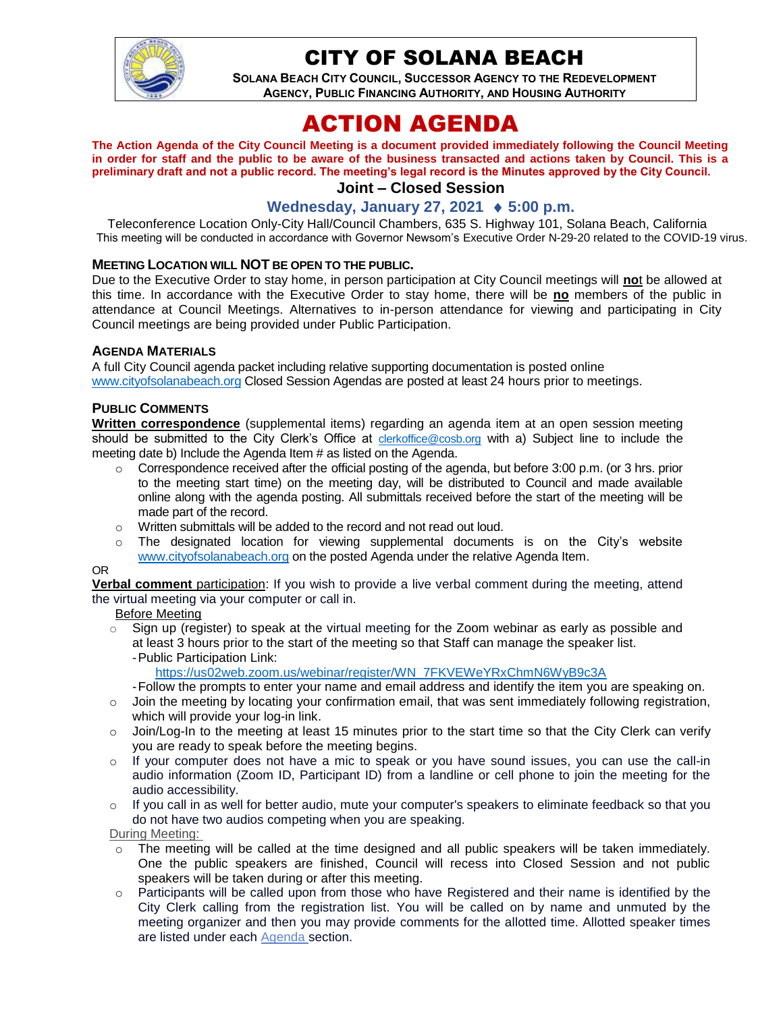

## CITY OF SOLANA BEACH

**SOLANA BEACH CITY COUNCIL, SUCCESSOR AGENCY TO THE REDEVELOPMENT AGENCY, PUBLIC FINANCING AUTHORITY, AND HOUSING AUTHORITY** 

# ACTION AGENDA

**The Action Agenda of the City Council Meeting is a document provided immediately following the Council Meeting in order for staff and the public to be aware of the business transacted and actions taken by Council. This is a preliminary draft and not a public record. The meeting's legal record is the Minutes approved by the City Council. Joint – Closed Session**

#### **Wednesday, January 27, 2021 5:00 p.m.**

Teleconference Location Only-City Hall/Council Chambers, 635 S. Highway 101, Solana Beach, California This meeting will be conducted in accordance with Governor Newsom's Executive Order N-29-20 related to the COVID-19 virus.

#### **MEETING LOCATION WILL NOT BE OPEN TO THE PUBLIC.**

Due to the Executive Order to stay home, in person participation at City Council meetings will **no**t be allowed at this time. In accordance with the Executive Order to stay home, there will be **no** members of the public in attendance at Council Meetings. Alternatives to in-person attendance for viewing and participating in City Council meetings are being provided under Public Participation.

#### **AGENDA MATERIALS**

A full City Council agenda packet including relative supporting documentation is posted online [www.cityofsolanabeach.org](https://urldefense.proofpoint.com/v2/url?u=http-3A__www.cityofsolanabeach.org&d=DwQFAg&c=euGZstcaTDllvimEN8b7jXrwqOf-v5A_CdpgnVfiiMM&r=1XAsCUuqwK_tji2t0s1uIQ&m=wny2RVfZJ2tN24LkqZmkUWNpwL_peNtTZUBlTBZiMM4&s=6ATguqxJUOD7VVtloplAbyuyNaVcEh6Fl4q1iw55lCY&e=) Closed Session Agendas are posted at least 24 hours prior to meetings.

#### **PUBLIC COMMENTS**

**Written correspondence** (supplemental items) regarding an agenda item at an open session meeting should be submitted to the City Clerk's Office at [clerkoffice@cosb.org](mailto:clerkoffice@cosb.org) with a) Subject line to include the meeting date b) Include the Agenda Item # as listed on the Agenda.

- $\circ$  Correspondence received after the official posting of the agenda, but before 3:00 p.m. (or 3 hrs. prior to the meeting start time) on the meeting day, will be distributed to Council and made available online along with the agenda posting. All submittals received before the start of the meeting will be made part of the record.
- o Written submittals will be added to the record and not read out loud.
- o The designated location for viewing supplemental documents is on the City's website [www.cityofsolanabeach.org](http://www.cityofsolanabeach.org/) on the posted Agenda under the relative Agenda Item.

#### OR

**Verbal comment** participation: If you wish to provide a live verbal comment during the meeting, attend the virtual meeting via your computer or call in.

#### Before Meeting

 $\circ$  Sign up (register) to speak at the virtual meeting for the Zoom webinar as early as possible and at least 3 hours prior to the start of the meeting so that Staff can manage the speaker list. -Public Participation Link:

[https://us02web.zoom.us/webinar/register/WN\\_7FKVEWeYRxChmN6WyB9c3A](https://us02web.zoom.us/webinar/register/WN_7FKVEWeYRxChmN6WyB9c3A)

-Follow the prompts to enter your name and email address and identify the item you are speaking on.

- $\circ$  Join the meeting by locating your confirmation email, that was sent immediately following registration, which will provide your log-in link.
- $\circ$  Join/Log-In to the meeting at least 15 minutes prior to the start time so that the City Clerk can verify you are ready to speak before the meeting begins.
- $\circ$  If your computer does not have a mic to speak or you have sound issues, you can use the call-in audio information (Zoom ID, Participant ID) from a landline or cell phone to join the meeting for the audio accessibility.
- $\circ$  If you call in as well for better audio, mute your computer's speakers to eliminate feedback so that you do not have two audios competing when you are speaking.

During Meeting:

- o The meeting will be called at the time designed and all public speakers will be taken immediately. One the public speakers are finished, Council will recess into Closed Session and not public speakers will be taken during or after this meeting.
- $\circ$  Participants will be called upon from those who have Registered and their name is identified by the City Clerk calling from the registration list. You will be called on by name and unmuted by the meeting organizer and then you may provide comments for the allotted time. Allotted speaker times are listed under each [Agenda s](https://urldefense.proofpoint.com/v2/url?u=https-3A__www.ci.solana-2Dbeach.ca.us_index.asp-3FSEC-3DF0F1200D-2D21C6-2D4A88-2D8AE1-2D0BC07C1A81A7-26Type-3DB-5FBASIC&d=DwMFaQ&c=euGZstcaTDllvimEN8b7jXrwqOf-v5A_CdpgnVfiiMM&r=1XAsCUuqwK_tji2t0s1uIQ&m=C7WzXfOw2_nkEFMJClT55zZsF4tmIf_7KTn0o1WpYqI&s=3DcsWExM2_nx_xpvFtXslUjphiXd0MDCCF18y_Qy5yU&e=)ection.